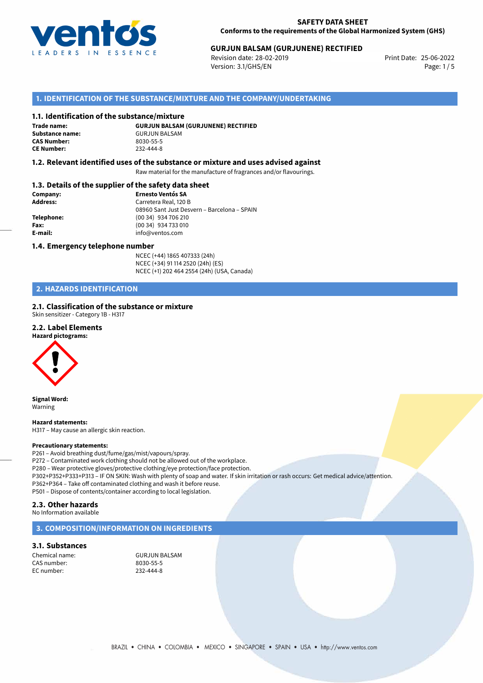

## 25-06-2022 **GURJUN BALSAM (GURJUNENE) RECTIFIED**

Revision date: 28-02-2019 Version: 3.1/GHS/EN Page: 1 / 5

## **1. IDENTIFICATION OF THE SUBSTANCE/MIXTURE AND THE COMPANY/UNDERTAKING**

#### **1.1. Identification of the substance/mixture**

**Trade name: CAS Number: CE Number:** 232-444-8

**GURJUN BALSAM (GURJUNENE) RECTIFIED Substance name:** GURJUN BALSAM<br> **CAS Number:** 8030-55-5

#### **1.2. Relevant identified uses of the substance or mixture and uses advised against**

Raw material for the manufacture of fragrances and/or flavourings.

#### **1.3. Details of the supplier of the safety data sheet**

| Company:        | <b>Ernesto Ventós SA</b>                    |  |
|-----------------|---------------------------------------------|--|
| <b>Address:</b> | Carretera Real, 120 B                       |  |
|                 | 08960 Sant Just Desvern - Barcelona - SPAIN |  |
| Telephone:      | (00 34) 934 706 210                         |  |
| Fax:            | (00 34) 934 733 010                         |  |
| E-mail:         | info@ventos.com                             |  |
|                 |                                             |  |

#### **1.4. Emergency telephone number**

NCEC (+44) 1865 407333 (24h) NCEC (+34) 91 114 2520 (24h) (ES) NCEC (+1) 202 464 2554 (24h) (USA, Canada)

## **2. HAZARDS IDENTIFICATION**

#### **2.1. Classification of the substance or mixture**

Skin sensitizer - Category 1B - H317

#### **2.2. Label Elements**





**Signal Word:** Warning

**Hazard statements:** H317 – May cause an allergic skin reaction.

#### **Precautionary statements:**

P261 – Avoid breathing dust/fume/gas/mist/vapours/spray. P272 – Contaminated work clothing should not be allowed out of the workplace. P280 – Wear protective gloves/protective clothing/eye protection/face protection. P302+P352+P333+P313 – IF ON SKIN: Wash with plenty of soap and water. If skin irritation or rash occurs: Get medical advice/attention. P362+P364 – Take off contaminated clothing and wash it before reuse. P501 – Dispose of contents/container according to local legislation.

#### **2.3. Other hazards**

No Information available

### **3. COMPOSITION/INFORMATION ON INGREDIENTS**

#### **3.1. Substances**

CAS number: 8030-55-5 EC number:

Chemical name: GURJUN BALSAM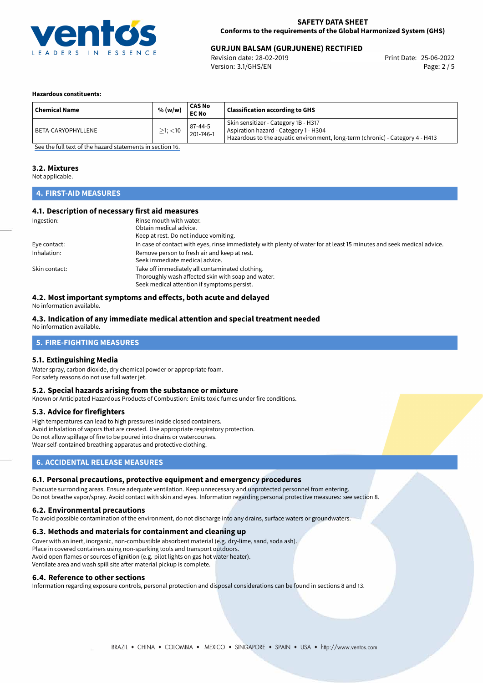

## 25-06-2022 **GURJUN BALSAM (GURJUNENE) RECTIFIED**

Revision date: 28-02-2019 Version: 3.1/GHS/EN Page: 2 / 5

#### **Hazardous constituents:**

| <b>Chemical Name</b> | % (w/w)       | CAS No<br><b>EC No</b> | <b>Classification according to GHS</b>                                                                                                                         |
|----------------------|---------------|------------------------|----------------------------------------------------------------------------------------------------------------------------------------------------------------|
| BETA-CARYOPHYLLENE   | $>1$ ; $<$ 10 | 87-44-5<br>201-746-1   | Skin sensitizer - Category 1B - H317<br>Aspiration hazard - Category 1 - H304<br>Hazardous to the aquatic environment, long-term (chronic) - Category 4 - H413 |

[See the full text of the hazard statements in section 16.](#page-4-0)

#### **3.2. Mixtures**

Not applicable.

## **4. FIRST-AID MEASURES**

#### **4.1. Description of necessary first aid measures**

| Ingestion:    | Rinse mouth with water.                                                                                               |
|---------------|-----------------------------------------------------------------------------------------------------------------------|
|               | Obtain medical advice.                                                                                                |
|               | Keep at rest. Do not induce vomiting.                                                                                 |
| Eye contact:  | In case of contact with eyes, rinse immediately with plenty of water for at least 15 minutes and seek medical advice. |
| Inhalation:   | Remove person to fresh air and keep at rest.                                                                          |
|               | Seek immediate medical advice.                                                                                        |
| Skin contact: | Take off immediately all contaminated clothing.                                                                       |
|               | Thoroughly wash affected skin with soap and water.                                                                    |
|               | Seek medical attention if symptoms persist.                                                                           |

## **4.2. Most important symptoms and effects, both acute and delayed**

No information available.

#### **4.3. Indication of any immediate medical attention and special treatment needed**

No information available.

## **5. FIRE-FIGHTING MEASURES**

#### **5.1. Extinguishing Media**

Water spray, carbon dioxide, dry chemical powder or appropriate foam. For safety reasons do not use full water jet.

#### **5.2. Special hazards arising from the substance or mixture**

Known or Anticipated Hazardous Products of Combustion: Emits toxic fumes under fire conditions.

#### **5.3. Advice for firefighters**

High temperatures can lead to high pressures inside closed containers. Avoid inhalation of vapors that are created. Use appropriate respiratory protection. Do not allow spillage of fire to be poured into drains or watercourses. Wear self-contained breathing apparatus and protective clothing.

### **6. ACCIDENTAL RELEASE MEASURES**

#### **6.1. Personal precautions, protective equipment and emergency procedures**

Evacuate surronding areas. Ensure adequate ventilation. Keep unnecessary and unprotected personnel from entering. Do not breathe vapor/spray. Avoid contact with skin and eyes. Information regarding personal protective measures: see section 8.

#### **6.2. Environmental precautions**

To avoid possible contamination of the environment, do not discharge into any drains, surface waters or groundwaters.

#### **6.3. Methods and materials for containment and cleaning up**

Cover with an inert, inorganic, non-combustible absorbent material (e.g. dry-lime, sand, soda ash). Place in covered containers using non-sparking tools and transport outdoors. Avoid open flames or sources of ignition (e.g. pilot lights on gas hot water heater). Ventilate area and wash spill site after material pickup is complete.

#### **6.4. Reference to other sections**

Information regarding exposure controls, personal protection and disposal considerations can be found in sections 8 and 13.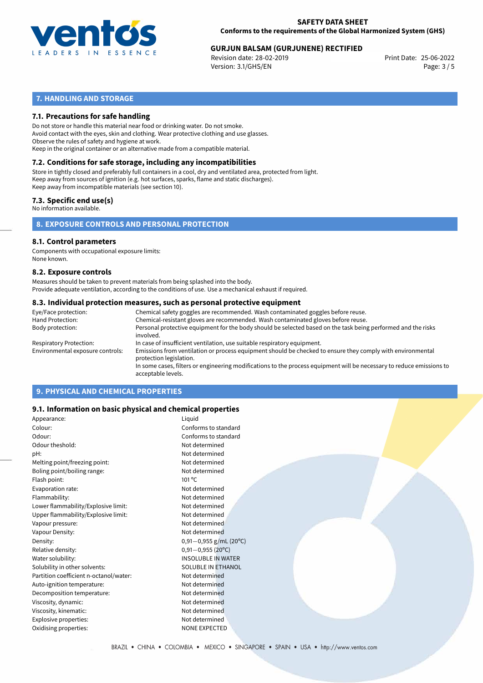

# **GURJUN BALSAM (GURJUNENE) RECTIFIED**<br>Revision date: 28-02-2019<br>Print Date: 25-06-2022

Revision date: 28-02-2019 Version: 3.1/GHS/EN Page: 3 / 5

## **7. HANDLING AND STORAGE**

### **7.1. Precautions for safe handling**

Do not store or handle this material near food or drinking water. Do not smoke. Avoid contact with the eyes, skin and clothing. Wear protective clothing and use glasses. Observe the rules of safety and hygiene at work. Keep in the original container or an alternative made from a compatible material.

## **7.2. Conditions for safe storage, including any incompatibilities**

Store in tightly closed and preferably full containers in a cool, dry and ventilated area, protected from light. Keep away from sources of ignition (e.g. hot surfaces, sparks, flame and static discharges). Keep away from incompatible materials (see section 10).

### **7.3. Specific end use(s)**

No information available.

**8. EXPOSURE CONTROLS AND PERSONAL PROTECTION**

#### **8.1. Control parameters**

Components with occupational exposure limits: None known.

#### **8.2. Exposure controls**

Measures should be taken to prevent materials from being splashed into the body. Provide adequate ventilation, according to the conditions of use. Use a mechanical exhaust if required.

#### **8.3. Individual protection measures, such as personal protective equipment**

| Eye/Face protection:             | Chemical safety goggles are recommended. Wash contaminated goggles before reuse.                                                            |
|----------------------------------|---------------------------------------------------------------------------------------------------------------------------------------------|
| Hand Protection:                 | Chemical-resistant gloves are recommended. Wash contaminated gloves before reuse.                                                           |
| Body protection:                 | Personal protective equipment for the body should be selected based on the task being performed and the risks<br>involved.                  |
| Respiratory Protection:          | In case of insufficient ventilation, use suitable respiratory equipment.                                                                    |
| Environmental exposure controls: | Emissions from ventilation or process equipment should be checked to ensure they comply with environmental<br>protection legislation.       |
|                                  | In some cases, filters or engineering modifications to the process equipment will be necessary to reduce emissions to<br>acceptable levels. |
|                                  |                                                                                                                                             |

## **9. PHYSICAL AND CHEMICAL PROPERTIES**

#### **9.1. Information on basic physical and chemical properties**

| Appearance:                            | Liquid                    |
|----------------------------------------|---------------------------|
| Colour:                                | Conforms to standard      |
| Odour:                                 | Conforms to standard      |
| Odour theshold:                        | Not determined            |
| pH:                                    | Not determined            |
| Melting point/freezing point:          | Not determined            |
| Boling point/boiling range:            | Not determined            |
| Flash point:                           | 101 °C                    |
| Evaporation rate:                      | Not determined            |
| Flammability:                          | Not determined            |
| Lower flammability/Explosive limit:    | Not determined            |
| Upper flammability/Explosive limit:    | Not determined            |
| Vapour pressure:                       | Not determined            |
| Vapour Density:                        | Not determined            |
| Density:                               | $0,91-0,955$ g/mL (20°C)  |
| Relative density:                      | $0,91 - 0,955$ (20°C)     |
| Water solubility:                      | <b>INSOLUBLE IN WATER</b> |
| Solubility in other solvents:          | SOLUBLE IN ETHANOL        |
| Partition coefficient n-octanol/water: | Not determined            |
| Auto-ignition temperature:             | Not determined            |
| Decomposition temperature:             | Not determined            |
| Viscosity, dynamic:                    | Not determined            |
| Viscosity, kinematic:                  | Not determined            |
| Explosive properties:                  | Not determined            |
| Oxidising properties:                  | <b>NONE EXPECTED</b>      |
|                                        |                           |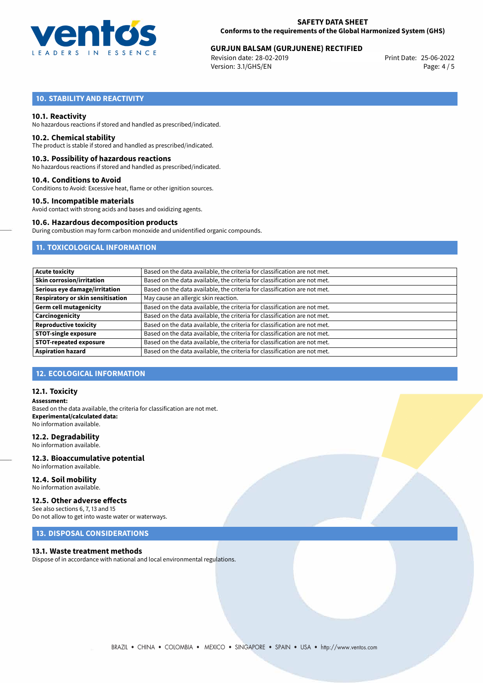

# 25-06-2022 **GURJUN BALSAM (GURJUNENE) RECTIFIED**

Revision date: 28-02-2019 Version: 3.1/GHS/EN Page: 4 / 5

## **10. STABILITY AND REACTIVITY**

#### **10.1. Reactivity**

No hazardous reactions if stored and handled as prescribed/indicated.

#### **10.2. Chemical stability**

The product is stable if stored and handled as prescribed/indicated.

#### **10.3. Possibility of hazardous reactions**

No hazardous reactions if stored and handled as prescribed/indicated.

#### **10.4. Conditions to Avoid**

Conditions to Avoid: Excessive heat, flame or other ignition sources.

#### **10.5. Incompatible materials**

Avoid contact with strong acids and bases and oxidizing agents.

#### **10.6. Hazardous decomposition products**

During combustion may form carbon monoxide and unidentified organic compounds.

## **11. TOXICOLOGICAL INFORMATION**

| Based on the data available, the criteria for classification are not met. |
|---------------------------------------------------------------------------|
| Based on the data available, the criteria for classification are not met. |
| Based on the data available, the criteria for classification are not met. |
| May cause an allergic skin reaction.                                      |
| Based on the data available, the criteria for classification are not met. |
| Based on the data available, the criteria for classification are not met. |
| Based on the data available, the criteria for classification are not met. |
| Based on the data available, the criteria for classification are not met. |
| Based on the data available, the criteria for classification are not met. |
| Based on the data available, the criteria for classification are not met. |
|                                                                           |

#### **12. ECOLOGICAL INFORMATION**

#### **12.1. Toxicity**

**Assessment:** Based on the data available, the criteria for classification are not met. **Experimental/calculated data:** No information available.

#### **12.2. Degradability**

No information available.

#### **12.3. Bioaccumulative potential** No information available.

**12.4. Soil mobility**

## No information available.

## **12.5. Other adverse effects**

See also sections 6, 7, 13 and 15 Do not allow to get into waste water or waterways.

## **13. DISPOSAL CONSIDERATIONS**

#### **13.1. Waste treatment methods**

Dispose of in accordance with national and local environmental regulations.